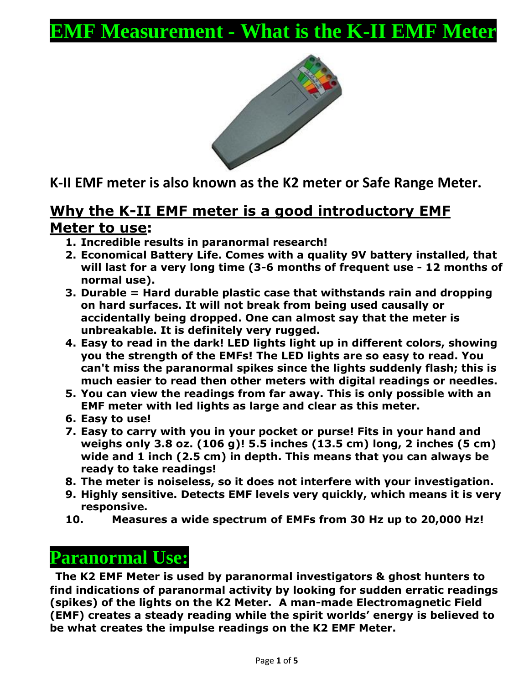# **EMF Measurement - What is the K-II EMF Meter**



**K-II EMF meter is also known as the K2 meter or Safe Range Meter.**

### **Why the K-II EMF meter is a good introductory EMF Meter to use:**

- **1. Incredible results in paranormal research!**
- **2. Economical Battery Life. Comes with a quality 9V battery installed, that will last for a very long time (3-6 months of frequent use - 12 months of normal use).**
- **3. Durable = Hard durable plastic case that withstands rain and dropping on hard surfaces. It will not break from being used causally or accidentally being dropped. One can almost say that the meter is unbreakable. It is definitely very rugged.**
- **4. Easy to read in the dark! LED lights light up in different colors, showing you the strength of the EMFs! The LED lights are so easy to read. You can't miss the paranormal spikes since the lights suddenly flash; this is much easier to read then other meters with digital readings or needles.**
- **5. You can view the readings from far away. This is only possible with an EMF meter with led lights as large and clear as this meter.**
- **6. Easy to use!**
- **7. Easy to carry with you in your pocket or purse! Fits in your hand and weighs only 3.8 oz. (106 g)! 5.5 inches (13.5 cm) long, 2 inches (5 cm) wide and 1 inch (2.5 cm) in depth. This means that you can always be ready to take readings!**
- **8. The meter is noiseless, so it does not interfere with your investigation.**
- **9. Highly sensitive. Detects EMF levels very quickly, which means it is very responsive.**
- **10. Measures a wide spectrum of EMFs from 30 Hz up to 20,000 Hz!**

## **Paranormal Use:**

**The K2 EMF Meter is used by paranormal investigators & ghost hunters to find indications of paranormal activity by looking for sudden erratic readings (spikes) of the lights on the K2 Meter. A man-made Electromagnetic Field (EMF) creates a steady reading while the spirit worlds' energy is believed to be what creates the impulse readings on the K2 EMF Meter.**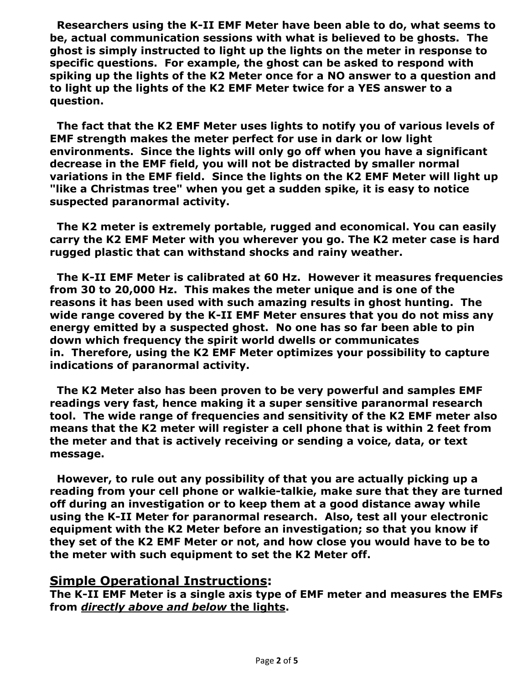**Researchers using the K-II EMF Meter have been able to do, what seems to be, actual communication sessions with what is believed to be ghosts. The ghost is simply instructed to light up the lights on the meter in response to specific questions. For example, the ghost can be asked to respond with spiking up the lights of the K2 Meter once for a NO answer to a question and to light up the lights of the K2 EMF Meter twice for a YES answer to a question.**

**The fact that the K2 EMF Meter uses lights to notify you of various levels of EMF strength makes the meter perfect for use in dark or low light environments. Since the lights will only go off when you have a significant decrease in the EMF field, you will not be distracted by smaller normal variations in the EMF field. Since the lights on the K2 EMF Meter will light up "like a Christmas tree" when you get a sudden spike, it is easy to notice suspected paranormal activity.**

**The K2 meter is extremely portable, rugged and economical. You can easily carry the K2 EMF Meter with you wherever you go. The K2 meter case is hard rugged plastic that can withstand shocks and rainy weather.** 

**The K-II EMF Meter is calibrated at 60 Hz. However it measures frequencies from 30 to 20,000 Hz. This makes the meter unique and is one of the reasons it has been used with such amazing results in ghost hunting. The wide range covered by the K-II EMF Meter ensures that you do not miss any energy emitted by a suspected ghost. No one has so far been able to pin down which frequency the spirit world dwells or communicates in. Therefore, using the K2 EMF Meter optimizes your possibility to capture indications of paranormal activity.** 

**The K2 Meter also has been proven to be very powerful and samples EMF readings very fast, hence making it a super sensitive paranormal research tool. The wide range of frequencies and sensitivity of the K2 EMF meter also means that the K2 meter will register a cell phone that is within 2 feet from the meter and that is actively receiving or sending a voice, data, or text message.** 

**However, to rule out any possibility of that you are actually picking up a reading from your cell phone or walkie-talkie, make sure that they are turned off during an investigation or to keep them at a good distance away while using the K-II Meter for paranormal research. Also, test all your electronic equipment with the K2 Meter before an investigation; so that you know if they set of the K2 EMF Meter or not, and how close you would have to be to the meter with such equipment to set the K2 Meter off.** 

#### **Simple Operational Instructions:**

**The K-II EMF Meter is a single axis type of EMF meter and measures the EMFs from** *directly above and below* **the lights.**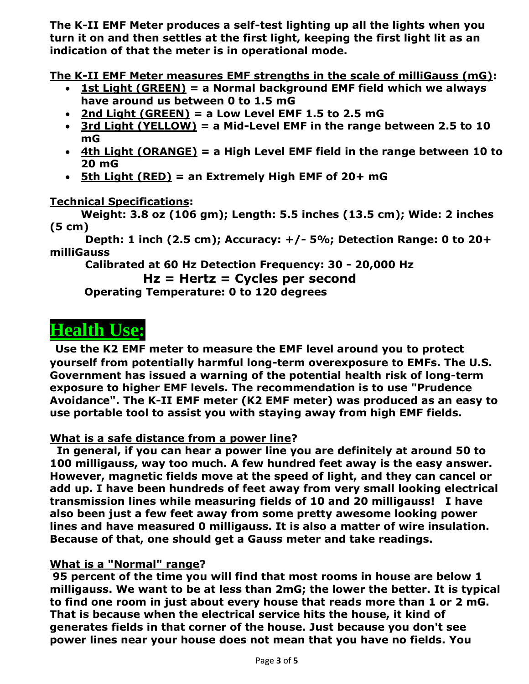**The K-II EMF Meter produces a self-test lighting up all the lights when you turn it on and then settles at the first light, keeping the first light lit as an indication of that the meter is in operational mode.** 

**The K-II EMF Meter measures EMF strengths in the scale of milliGauss (mG):**

- **1st Light (GREEN) = a Normal background EMF field which we always have around us between 0 to 1.5 mG**
- **2nd Light (GREEN) = a Low Level EMF 1.5 to 2.5 mG**
- **3rd Light (YELLOW) = a Mid-Level EMF in the range between 2.5 to 10 mG**
- **4th Light (ORANGE) = a High Level EMF field in the range between 10 to 20 mG**
- **5th Light (RED) = an Extremely High EMF of 20+ mG**

**Technical Specifications:** 

**Weight: 3.8 oz (106 gm); Length: 5.5 inches (13.5 cm); Wide: 2 inches (5 cm)**

 **Depth: 1 inch (2.5 cm); Accuracy: +/- 5%; Detection Range: 0 to 20+ milliGauss** 

 **Calibrated at 60 Hz Detection Frequency: 30 - 20,000 Hz**

```
Hz = Hertz = Cycles per second
```
**Operating Temperature: 0 to 120 degrees** 

# **Health Use:**

**Use the K2 EMF meter to measure the EMF level around you to protect yourself from potentially harmful long-term overexposure to EMFs. The U.S. Government has issued a warning of the potential health risk of long-term exposure to higher EMF levels. The recommendation is to use "Prudence Avoidance". The K-II EMF meter (K2 EMF meter) was produced as an easy to use portable tool to assist you with staying away from high EMF fields.** 

#### **What is a safe distance from a power line?**

**In general, if you can hear a power line you are definitely at around 50 to 100 milligauss, way too much. A few hundred feet away is the easy answer. However, magnetic fields move at the speed of light, and they can cancel or add up. I have been hundreds of feet away from very small looking electrical transmission lines while measuring fields of 10 and 20 milligauss! I have also been just a few feet away from some pretty awesome looking power lines and have measured 0 milligauss. It is also a matter of wire insulation. Because of that, one should get a Gauss meter and take readings.** 

#### **What is a "Normal" range?**

**95 percent of the time you will find that most rooms in house are below 1 milligauss. We want to be at less than 2mG; the lower the better. It is typical to find one room in just about every house that reads more than 1 or 2 mG. That is because when the electrical service hits the house, it kind of generates fields in that corner of the house. Just because you don't see power lines near your house does not mean that you have no fields. You**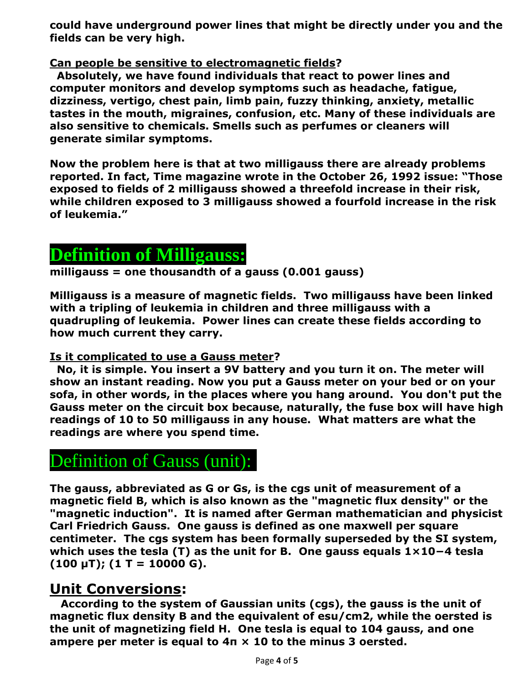**could have underground power lines that might be directly under you and the fields can be very high.** 

#### **Can people be sensitive to electromagnetic fields?**

**Absolutely, we have found individuals that react to power lines and computer monitors and develop symptoms such as headache, fatigue, dizziness, vertigo, chest pain, limb pain, fuzzy thinking, anxiety, metallic tastes in the mouth, migraines, confusion, etc. Many of these individuals are also sensitive to chemicals. Smells such as perfumes or cleaners will generate similar symptoms.** 

**Now the problem here is that at two milligauss there are already problems reported. In fact, Time magazine wrote in the October 26, 1992 issue: "Those exposed to fields of 2 milligauss showed a threefold increase in their risk, while children exposed to 3 milligauss showed a fourfold increase in the risk of leukemia."** 

## **Definition of Milligauss:**

**milligauss = one thousandth of a gauss (0.001 gauss)**

**Milligauss is a measure of magnetic fields. Two milligauss have been linked with a tripling of leukemia in children and three milligauss with a quadrupling of leukemia. Power lines can create these fields according to how much current they carry.** 

#### **Is it complicated to use a Gauss meter?**

**No, it is simple. You insert a 9V battery and you turn it on. The meter will show an instant reading. Now you put a Gauss meter on your bed or on your sofa, in other words, in the places where you hang around. You don't put the Gauss meter on the circuit box because, naturally, the fuse box will have high readings of 10 to 50 milligauss in any house. What matters are what the readings are where you spend time.** 

## Definition of Gauss (unit):

**The gauss, abbreviated as G or Gs, is the cgs unit of measurement of a magnetic field B, which is also known as the "magnetic flux density" or the "magnetic induction". It is named after German mathematician and physicist Carl Friedrich Gauss. One gauss is defined as one maxwell per square centimeter. The cgs system has been formally superseded by the SI system, which uses the tesla (T) as the unit for B. One gauss equals 1×10−4 tesla (100 μT); (1 T = 10000 G).**

### **Unit Conversions:**

 **According to the system of Gaussian units (cgs), the gauss is the unit of magnetic flux density B and the equivalent of esu/cm2, while the oersted is the unit of magnetizing field H. One tesla is equal to 104 gauss, and one ampere per meter is equal to 4π × 10 to the minus 3 oersted.**